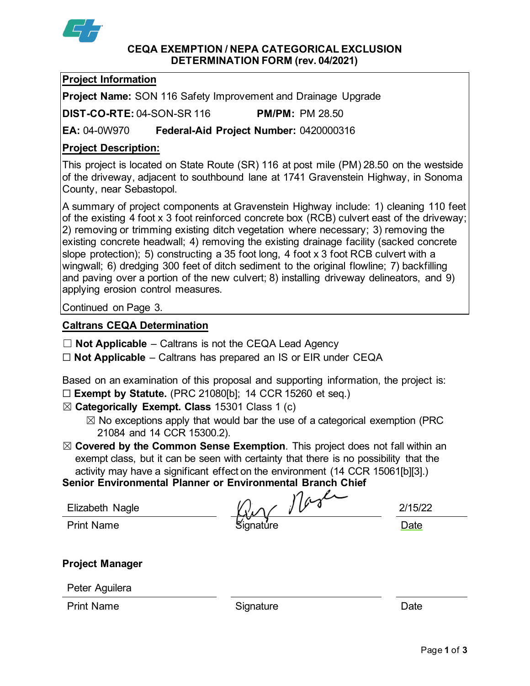

#### **CEQA EXEMPTION / NEPA CATEGORICAL EXCLUSION DETERMINATION FORM (rev. 04/2021)**

# **Project Information**

**Project Name:** SON 116 Safety Improvement and Drainage Upgrade

**DIST-CO-RTE:** 04-SON-SR 116 **PM/PM:** PM 28.50

**EA:** 04-0W970 **Federal-Aid Project Number:** 0420000316

# **Project Description:**

This project is located on State Route (SR) 116 at post mile (PM) 28.50 on the westside of the driveway, adjacent to southbound lane at 1741 Gravenstein Highway, in Sonoma County, near Sebastopol.

A summary of project components at Gravenstein Highway include: 1) cleaning 110 feet of the existing 4 foot x 3 foot reinforced concrete box (RCB) culvert east of the driveway; 2) removing or trimming existing ditch vegetation where necessary; 3) removing the existing concrete headwall; 4) removing the existing drainage facility (sacked concrete slope protection); 5) constructing a 35 foot long, 4 foot x 3 foot RCB culvert with a wingwall; 6) dredging 300 feet of ditch sediment to the original flowline; 7) backfilling and paving over a portion of the new culvert; 8) installing driveway delineators, and 9) applying erosion control measures.

Continued on Page 3.

## **Caltrans CEQA Determination**

- ☐ **Not Applicable** Caltrans is not the CEQA Lead Agency
- ☐ **Not Applicable** Caltrans has prepared an IS or EIR under CEQA

Based on an examination of this proposal and supporting information, the project is: ☐ **Exempt by Statute.** (PRC 21080[b]; 14 CCR 15260 et seq.)

☒ **Categorically Exempt. Class** 15301 Class 1 (c)

- $\boxtimes$  No exceptions apply that would bar the use of a categorical exemption (PRC 21084 and 14 CCR 15300.2).
- ☒ **Covered by the Common Sense Exemption**. This project does not fall within an exempt class, but it can be seen with certainty that there is no possibility that the activity may have a significant effect on the environment (14 CCR 15061[b][3].)

**Senior Environmental Planner or Environmental Branch Chief**

| Elizabeth Nagle   | $\sim$    | 2/15/2 |
|-------------------|-----------|--------|
| <b>Print Name</b> | Signature | Date   |

2/15/22

# **Project Manager**

Peter Aguilera

Print Name **Signature Constant Construction** Constant Construction Construction Construction Construction Const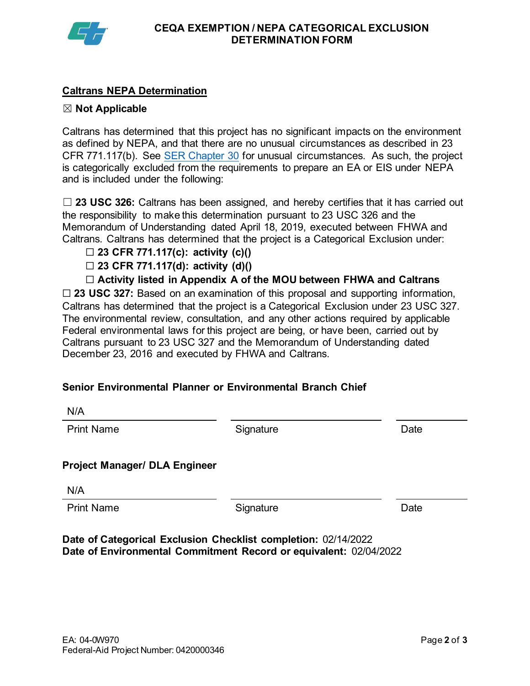

## **Caltrans NEPA Determination**

#### ☒ **Not Applicable**

Caltrans has determined that this project has no significant impacts on the environment as defined by NEPA, and that there are no unusual circumstances as described in 23 CFR 771.117(b). See [SER Chapter 30](https://dot.ca.gov/programs/environmental-analysis/standard-environmental-reference-ser/volume-1-guidance-for-compliance/ch-30-categorical-exclusions#exception) for unusual circumstances. As such, the project is categorically excluded from the requirements to prepare an EA or EIS under NEPA and is included under the following:

☐ **23 USC 326:** Caltrans has been assigned, and hereby certifies that it has carried out the responsibility to make this determination pursuant to 23 USC 326 and the Memorandum of Understanding dated April 18, 2019, executed between FHWA and Caltrans. Caltrans has determined that the project is a Categorical Exclusion under:

- ☐ **23 CFR 771.117(c): activity (c)()**
- ☐ **23 CFR 771.117(d): activity (d)()**
- ☐ **Activity listed in Appendix A of the MOU between FHWA and Caltrans**

☐ **23 USC 327:** Based on an examination of this proposal and supporting information, Caltrans has determined that the project is a Categorical Exclusion under 23 USC 327. The environmental review, consultation, and any other actions required by applicable Federal environmental laws for this project are being, or have been, carried out by Caltrans pursuant to 23 USC 327 and the Memorandum of Understanding dated December 23, 2016 and executed by FHWA and Caltrans.

#### **Senior Environmental Planner or Environmental Branch Chief**

Print Name **Signature** Signature **Date** 

#### **Project Manager/ DLA Engineer**

N/A

Print Name **Signature** Signature Date

**Date of Categorical Exclusion Checklist completion:** 02/14/2022 **Date of Environmental Commitment Record or equivalent:** 02/04/2022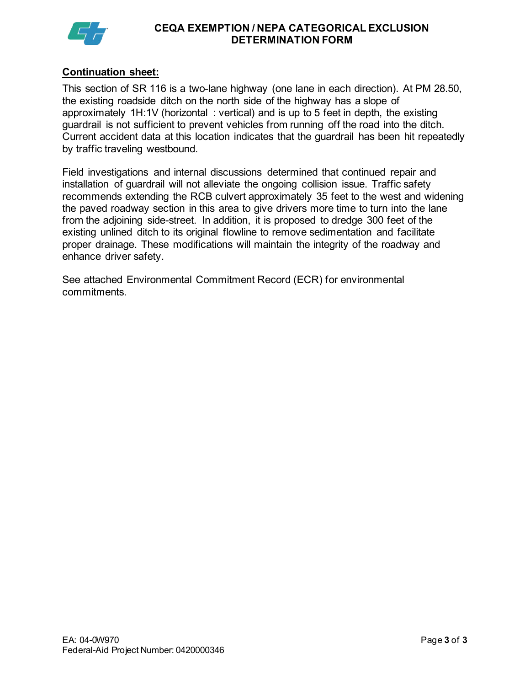

#### **CEQA EXEMPTION / NEPA CATEGORICAL EXCLUSION DETERMINATION FORM**

#### **Continuation sheet:**

This section of SR 116 is a two-lane highway (one lane in each direction). At PM 28.50, the existing roadside ditch on the north side of the highway has a slope of approximately 1H:1V (horizontal : vertical) and is up to 5 feet in depth, the existing guardrail is not sufficient to prevent vehicles from running off the road into the ditch. Current accident data at this location indicates that the guardrail has been hit repeatedly by traffic traveling westbound.

Field investigations and internal discussions determined that continued repair and installation of guardrail will not alleviate the ongoing collision issue. Traffic safety recommends extending the RCB culvert approximately 35 feet to the west and widening the paved roadway section in this area to give drivers more time to turn into the lane from the adjoining side-street. In addition, it is proposed to dredge 300 feet of the existing unlined ditch to its original flowline to remove sedimentation and facilitate proper drainage. These modifications will maintain the integrity of the roadway and enhance driver safety.

See attached Environmental Commitment Record (ECR) for environmental commitments.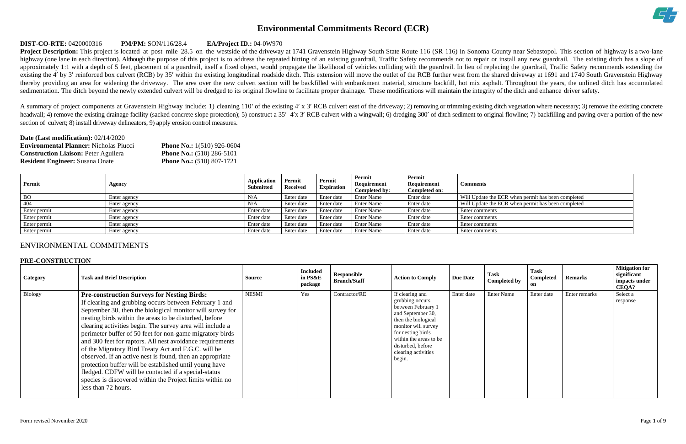

| R when permit has been completed |  |
|----------------------------------|--|
| R when permit has been completed |  |
|                                  |  |
|                                  |  |
|                                  |  |
|                                  |  |

# **Environmental Commitments Record (ECR)**

#### **DIST-CO-RTE:** 0420000316 **PM/PM:** SON/116/28.4 **EA/Project ID.:** 04-0W970

**Project Description:** This project is located at post mile 28.5 on the westside of the driveway at 1741 Gravenstein Highway South State Route 116 (SR 116) in Sonoma County near Sebastopol. This section of highway is a two highway (one lane in each direction). Although the purpose of this project is to address the repeated hitting of an existing guardrail, Traffic Safety recommends not to repair or install any new guardrail. The existing dit approximately 1:1 with a depth of 5 feet, placement of a guardrail, itself a fixed object, would propagate the likelihood of vehicles colliding with the guardrail. In lieu of replacing the guardrail, Traffic Safety recomme existing the 4' by 3' reinforced box culvert (RCB) by 35' within the existing longitudinal roadside ditch. This extension will move the outlet of the RCB further west from the shared driveway at 1691 and 1740 South Gravens thereby providing an area for widening the driveway. The area over the new culvert section will be backfilled with embankment material, structure backfill, hot mix asphalt. Throughout the years, the unlined ditch has accum sedimentation. The ditch beyond the newly extended culvert will be dredged to its original flowline to facilitate proper drainage. These modifications will maintain the integrity of the ditch and enhance driver safety.

A summary of project components at Gravenstein Highway include: 1) cleaning 110' of the existing 4' x 3' RCB culvert east of the driveway; 2) removing or trimming existing ditch vegetation where necessary; 3) remove the ex headwall; 4) remove the existing drainage facility (sacked concrete slope protection); 5) construct a 35' 4'x 3' RCB culvert with a wingwall; 6) dredging 300' of ditch sediment to original flowline; 7) backfilling and pavi section of culvert; 8) install driveway delineators, 9) apply erosion control measures.

| <b>Date (Last modification): 02/14/2020</b>   |                                     |
|-----------------------------------------------|-------------------------------------|
| <b>Environmental Planner:</b> Nicholas Piucci | <b>Phone No.:</b> $1(510)$ 926-0604 |
| <b>Construction Liaison: Peter Aguilera</b>   | <b>Phone No.:</b> $(510)$ 286-5101  |
| <b>Resident Engineer:</b> Susana Onate        | <b>Phone No.:</b> $(510) 807-1721$  |

| Permit       | Agency       | <b>Application</b><br>Submitted | Permit<br><b>Received</b> | Permit<br><b>Expiration</b> | Permit<br>Requirement<br>Completed by: | Permit<br>Requirement<br>Completed on: | <b>Comments</b>                                    |
|--------------|--------------|---------------------------------|---------------------------|-----------------------------|----------------------------------------|----------------------------------------|----------------------------------------------------|
| <b>BO</b>    | Enter agency | N/A                             | Enter date                | Enter date                  | Enter Name                             | Enter date                             | Will Update the ECR when permit has been completed |
| 404          | Enter agency | N/A                             | Enter date                | Enter date                  | Enter Name                             | Enter date                             | Will Update the ECR when permit has been completed |
| Enter permit | Enter agency | Enter date                      | Enter date                | Enter date                  | Enter Name                             | Enter date                             | Enter comments                                     |
| Enter permit | Enter agency | Enter date                      | Enter date                | Enter date                  | Enter Name                             | Enter date                             | Enter comments                                     |
| Enter permit | Enter agency | Enter date                      | Enter date                | Enter date                  | <b>Enter Name</b>                      | Enter date                             | Enter comments                                     |
| Enter permit | Enter agency | Enter date                      | Enter date                | Enter date                  | <b>Enter Name</b>                      | Enter date                             | Enter comments                                     |

# ENVIRONMENTAL COMMITMENTS

#### **PRE-CONSTRUCTION**

| Category | <b>Task and Brief Description</b>                                                                                                                                                                                                                                                                                                                                                                                                                                                                                                                                                                                                                                                                                                                  | Source       | <b>Included</b><br>in PS&E<br>package | Responsible<br><b>Branch/Staff</b> | <b>Action to Comply</b>                                                                                                                                                                                                          | <b>Due Date</b> | Task<br><b>Completed by</b> | <b>Task</b><br>Completed<br>on | <b>Remarks</b> | <b>Mitigation for</b><br>significant<br>impacts under<br><b>CEQA?</b> |
|----------|----------------------------------------------------------------------------------------------------------------------------------------------------------------------------------------------------------------------------------------------------------------------------------------------------------------------------------------------------------------------------------------------------------------------------------------------------------------------------------------------------------------------------------------------------------------------------------------------------------------------------------------------------------------------------------------------------------------------------------------------------|--------------|---------------------------------------|------------------------------------|----------------------------------------------------------------------------------------------------------------------------------------------------------------------------------------------------------------------------------|-----------------|-----------------------------|--------------------------------|----------------|-----------------------------------------------------------------------|
| Biology  | <b>Pre-construction Surveys for Nesting Birds:</b><br>If clearing and grubbing occurs between February 1 and<br>September 30, then the biological monitor will survey for<br>nesting birds within the areas to be disturbed, before<br>clearing activities begin. The survey area will include a<br>perimeter buffer of 50 feet for non-game migratory birds<br>and 300 feet for raptors. All nest avoidance requirements<br>of the Migratory Bird Treaty Act and F.G.C. will be<br>observed. If an active nest is found, then an appropriate<br>protection buffer will be established until young have<br>fledged. CDFW will be contacted if a special-status<br>species is discovered within the Project limits within no<br>less than 72 hours. | <b>NESMI</b> | Yes                                   | Contractor/RE                      | If clearing and<br>grubbing occurs<br>between February 1<br>and September 30,<br>then the biological<br>monitor will survey<br>for nesting birds<br>within the areas to be<br>disturbed, before<br>clearing activities<br>begin. | Enter date      | <b>Enter Name</b>           | Enter date                     | Enter remarks  | Select a<br>response                                                  |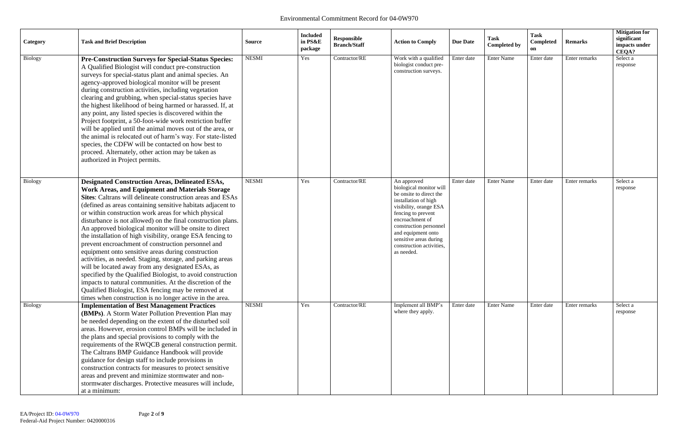| Category       | <b>Task and Brief Description</b>                                                                                                                                                                                                                                                                                                                                                                                                                                                                                                                                                                                                                                                                                                                                                                                                                                                                                                                                          | <b>Source</b> | <b>Included</b><br>in PS&E<br>package | Responsible<br><b>Branch/Staff</b> | <b>Action to Comply</b>                                                                                                                                                                                                                                                          | <b>Due Date</b> | <b>Task</b><br><b>Completed by</b> | <b>Task</b><br>Completed<br>on | <b>Remarks</b> | <b>Mitigation for</b><br>significant<br>impacts under<br>CEQA? |
|----------------|----------------------------------------------------------------------------------------------------------------------------------------------------------------------------------------------------------------------------------------------------------------------------------------------------------------------------------------------------------------------------------------------------------------------------------------------------------------------------------------------------------------------------------------------------------------------------------------------------------------------------------------------------------------------------------------------------------------------------------------------------------------------------------------------------------------------------------------------------------------------------------------------------------------------------------------------------------------------------|---------------|---------------------------------------|------------------------------------|----------------------------------------------------------------------------------------------------------------------------------------------------------------------------------------------------------------------------------------------------------------------------------|-----------------|------------------------------------|--------------------------------|----------------|----------------------------------------------------------------|
| Biology        | <b>Pre-Construction Surveys for Special-Status Species:</b><br>A Qualified Biologist will conduct pre-construction<br>surveys for special-status plant and animal species. An<br>agency-approved biological monitor will be present<br>during construction activities, including vegetation<br>clearing and grubbing, when special-status species have<br>the highest likelihood of being harmed or harassed. If, at<br>any point, any listed species is discovered within the<br>Project footprint, a 50-foot-wide work restriction buffer<br>will be applied until the animal moves out of the area, or<br>the animal is relocated out of harm's way. For state-listed<br>species, the CDFW will be contacted on how best to<br>proceed. Alternately, other action may be taken as<br>authorized in Project permits.                                                                                                                                                     | <b>NESMI</b>  | Yes                                   | Contractor/RE                      | Work with a qualified<br>biologist conduct pre-<br>construction surveys.                                                                                                                                                                                                         | Enter date      | <b>Enter Name</b>                  | Enter date                     | Enter remarks  | Select a<br>response                                           |
| <b>Biology</b> | <b>Designated Construction Areas, Delineated ESAs,</b><br><b>Work Areas, and Equipment and Materials Storage</b><br>Sites: Caltrans will delineate construction areas and ESAs<br>(defined as areas containing sensitive habitats adjacent to<br>or within construction work areas for which physical<br>disturbance is not allowed) on the final construction plans.<br>An approved biological monitor will be onsite to direct<br>the installation of high visibility, orange ESA fencing to<br>prevent encroachment of construction personnel and<br>equipment onto sensitive areas during construction<br>activities, as needed. Staging, storage, and parking areas<br>will be located away from any designated ESAs, as<br>specified by the Qualified Biologist, to avoid construction<br>impacts to natural communities. At the discretion of the<br>Qualified Biologist, ESA fencing may be removed at<br>times when construction is no longer active in the area. | <b>NESMI</b>  | Yes                                   | Contractor/RE                      | An approved<br>biological monitor will<br>be onsite to direct the<br>installation of high<br>visibility, orange ESA<br>fencing to prevent<br>encroachment of<br>construction personnel<br>and equipment onto<br>sensitive areas during<br>construction activities,<br>as needed. | Enter date      | <b>Enter Name</b>                  | Enter date                     | Enter remarks  | Select a<br>response                                           |
| Biology        | <b>Implementation of Best Management Practices</b><br>(BMPs). A Storm Water Pollution Prevention Plan may<br>be needed depending on the extent of the disturbed soil<br>areas. However, erosion control BMPs will be included in<br>the plans and special provisions to comply with the<br>requirements of the RWQCB general construction permit.<br>The Caltrans BMP Guidance Handbook will provide<br>guidance for design staff to include provisions in<br>construction contracts for measures to protect sensitive<br>areas and prevent and minimize stormwater and non-<br>stormwater discharges. Protective measures will include,<br>at a minimum:                                                                                                                                                                                                                                                                                                                  | <b>NESMI</b>  | Yes                                   | Contractor/RE                      | Implement all BMP's<br>where they apply.                                                                                                                                                                                                                                         | Enter date      | <b>Enter Name</b>                  | Enter date                     | Enter remarks  | Select a<br>response                                           |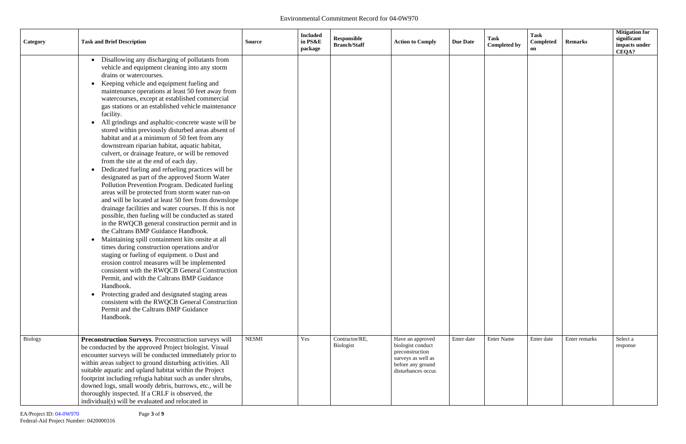| Category | <b>Task and Brief Description</b>                                                                                                                                                                                                                                                                                                                                                                                                                                                                                                                                                                                                                                                                                                                                                                                                                                                                                                                                                                                                                                                                                                                                                                                                                                                                                                                                                                                                                                                                                                                                                                                                                       | <b>Source</b> | <b>Included</b><br>in PS&E<br>package | Responsible<br><b>Branch/Staff</b> | <b>Action to Comply</b>                                                                                | <b>Due Date</b> | <b>Task</b><br><b>Completed by</b> | <b>Task</b><br>Completed<br>on | <b>Remarks</b> | <b>Mitigation for</b><br>significant<br>impacts under<br>CEQA? |
|----------|---------------------------------------------------------------------------------------------------------------------------------------------------------------------------------------------------------------------------------------------------------------------------------------------------------------------------------------------------------------------------------------------------------------------------------------------------------------------------------------------------------------------------------------------------------------------------------------------------------------------------------------------------------------------------------------------------------------------------------------------------------------------------------------------------------------------------------------------------------------------------------------------------------------------------------------------------------------------------------------------------------------------------------------------------------------------------------------------------------------------------------------------------------------------------------------------------------------------------------------------------------------------------------------------------------------------------------------------------------------------------------------------------------------------------------------------------------------------------------------------------------------------------------------------------------------------------------------------------------------------------------------------------------|---------------|---------------------------------------|------------------------------------|--------------------------------------------------------------------------------------------------------|-----------------|------------------------------------|--------------------------------|----------------|----------------------------------------------------------------|
| Biology  | Disallowing any discharging of pollutants from<br>vehicle and equipment cleaning into any storm<br>drains or watercourses.<br>Keeping vehicle and equipment fueling and<br>$\bullet$<br>maintenance operations at least 50 feet away from<br>watercourses, except at established commercial<br>gas stations or an established vehicle maintenance<br>facility.<br>All grindings and asphaltic-concrete waste will be<br>stored within previously disturbed areas absent of<br>habitat and at a minimum of 50 feet from any<br>downstream riparian habitat, aquatic habitat,<br>culvert, or drainage feature, or will be removed<br>from the site at the end of each day.<br>Dedicated fueling and refueling practices will be<br>$\bullet$<br>designated as part of the approved Storm Water<br>Pollution Prevention Program. Dedicated fueling<br>areas will be protected from storm water run-on<br>and will be located at least 50 feet from downslope<br>drainage facilities and water courses. If this is not<br>possible, then fueling will be conducted as stated<br>in the RWQCB general construction permit and in<br>the Caltrans BMP Guidance Handbook.<br>Maintaining spill containment kits onsite at all<br>times during construction operations and/or<br>staging or fueling of equipment. o Dust and<br>erosion control measures will be implemented<br>consistent with the RWQCB General Construction<br>Permit, and with the Caltrans BMP Guidance<br>Handbook.<br>Protecting graded and designated staging areas<br>$\bullet$<br>consistent with the RWQCB General Construction<br>Permit and the Caltrans BMP Guidance<br>Handbook. | <b>NESMI</b>  | Yes                                   | Contractor/RE,                     | Have an approved                                                                                       | Enter date      | <b>Enter Name</b>                  | Enter date                     | Enter remarks  | Select a                                                       |
|          | Preconstruction Surveys. Preconstruction surveys will<br>be conducted by the approved Project biologist. Visual<br>encounter surveys will be conducted immediately prior to<br>within areas subject to ground disturbing activities. All<br>suitable aquatic and upland habitat within the Project<br>footprint including refugia habitat such as under shrubs,<br>downed logs, small woody debris, burrows, etc., will be<br>thoroughly inspected. If a CRLF is observed, the<br>individual(s) will be evaluated and relocated in                                                                                                                                                                                                                                                                                                                                                                                                                                                                                                                                                                                                                                                                                                                                                                                                                                                                                                                                                                                                                                                                                                                      |               |                                       | Biologist                          | biologist conduct<br>preconstruction<br>surveys as well as<br>before any ground<br>disturbances occur. |                 |                                    |                                |                | response                                                       |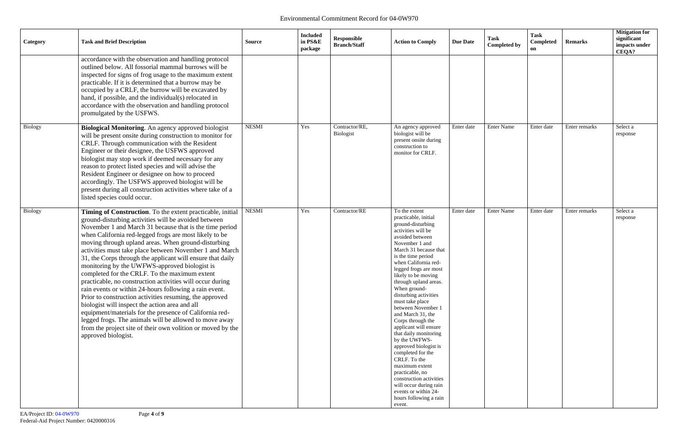| Category       | <b>Task and Brief Description</b>                                                                                                                                                                                                                                                                                                                                                                                                                                                                                                                                                                                                                                                                                                                                                                                                                                                                                                                                        | <b>Source</b> | <b>Included</b><br>in PS&E<br>package | Responsible<br><b>Branch/Staff</b> | <b>Action to Comply</b>                                                                                                                                                                                                                                                                                                                                                                                                                                                                                                                                                                                                                                                                  | <b>Due Date</b> | <b>Task</b><br><b>Completed by</b> | <b>Task</b><br>Completed<br>on | <b>Remarks</b> | <b>Mitigation for</b><br>significant<br>impacts under<br>CEQA? |
|----------------|--------------------------------------------------------------------------------------------------------------------------------------------------------------------------------------------------------------------------------------------------------------------------------------------------------------------------------------------------------------------------------------------------------------------------------------------------------------------------------------------------------------------------------------------------------------------------------------------------------------------------------------------------------------------------------------------------------------------------------------------------------------------------------------------------------------------------------------------------------------------------------------------------------------------------------------------------------------------------|---------------|---------------------------------------|------------------------------------|------------------------------------------------------------------------------------------------------------------------------------------------------------------------------------------------------------------------------------------------------------------------------------------------------------------------------------------------------------------------------------------------------------------------------------------------------------------------------------------------------------------------------------------------------------------------------------------------------------------------------------------------------------------------------------------|-----------------|------------------------------------|--------------------------------|----------------|----------------------------------------------------------------|
|                | accordance with the observation and handling protocol<br>outlined below. All fossorial mammal burrows will be<br>inspected for signs of frog usage to the maximum extent<br>practicable. If it is determined that a burrow may be<br>occupied by a CRLF, the burrow will be excavated by<br>hand, if possible, and the individual(s) relocated in<br>accordance with the observation and handling protocol<br>promulgated by the USFWS.                                                                                                                                                                                                                                                                                                                                                                                                                                                                                                                                  |               |                                       |                                    |                                                                                                                                                                                                                                                                                                                                                                                                                                                                                                                                                                                                                                                                                          |                 |                                    |                                |                |                                                                |
| <b>Biology</b> | Biological Monitoring. An agency approved biologist<br>will be present onsite during construction to monitor for<br>CRLF. Through communication with the Resident<br>Engineer or their designee, the USFWS approved<br>biologist may stop work if deemed necessary for any<br>reason to protect listed species and will advise the<br>Resident Engineer or designee on how to proceed<br>accordingly. The USFWS approved biologist will be<br>present during all construction activities where take of a<br>listed species could occur.                                                                                                                                                                                                                                                                                                                                                                                                                                  | <b>NESMI</b>  | Yes                                   | Contractor/RE,<br>Biologist        | An agency approved<br>biologist will be<br>present onsite during<br>construction to<br>monitor for CRLF.                                                                                                                                                                                                                                                                                                                                                                                                                                                                                                                                                                                 | Enter date      | <b>Enter Name</b>                  | Enter date                     | Enter remarks  | Select a<br>response                                           |
| Biology        | Timing of Construction. To the extent practicable, initial<br>ground-disturbing activities will be avoided between<br>November 1 and March 31 because that is the time period<br>when California red-legged frogs are most likely to be<br>moving through upland areas. When ground-disturbing<br>activities must take place between November 1 and March<br>31, the Corps through the applicant will ensure that daily<br>monitoring by the UWFWS-approved biologist is<br>completed for the CRLF. To the maximum extent<br>practicable, no construction activities will occur during<br>rain events or within 24-hours following a rain event.<br>Prior to construction activities resuming, the approved<br>biologist will inspect the action area and all<br>equipment/materials for the presence of California red-<br>legged frogs. The animals will be allowed to move away<br>from the project site of their own volition or moved by the<br>approved biologist. | <b>NESMI</b>  | Yes                                   | Contractor/RE                      | To the extent<br>practicable, initial<br>ground-disturbing<br>activities will be<br>avoided between<br>November 1 and<br>March 31 because that<br>is the time period<br>when California red-<br>legged frogs are most<br>likely to be moving<br>through upland areas.<br>When ground-<br>disturbing activities<br>must take place<br>between November 1<br>and March 31, the<br>Corps through the<br>applicant will ensure<br>that daily monitoring<br>by the UWFWS-<br>approved biologist is<br>completed for the<br>CRLF. To the<br>maximum extent<br>practicable, no<br>construction activities<br>will occur during rain<br>events or within 24-<br>hours following a rain<br>event. | Enter date      | <b>Enter Name</b>                  | Enter date                     | Enter remarks  | Select a<br>response                                           |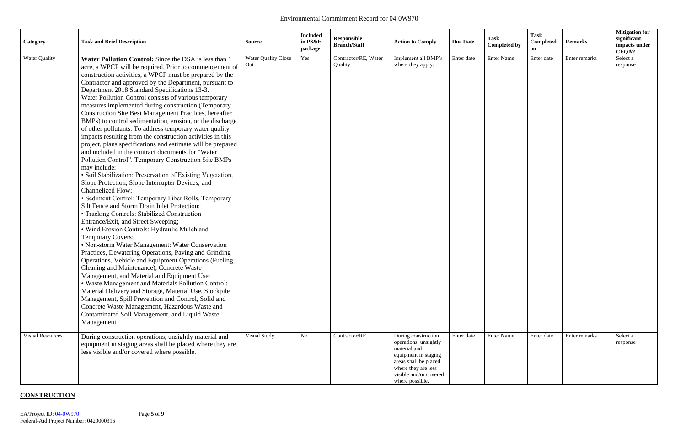| Category                                        | <b>Task and Brief Description</b>                                                                                                                                                                                                                                                                                                                                                                                                                                                                                                                                                                                                                                                                                                                                                                                                                                                                                                                                                                                                                                                                                                                                                                                                                                                                                                                                                                                                                                                                                                                                                                                                                                                                                                                                                                                                 | <b>Source</b>                                     | <b>Included</b><br>in PS&E<br>package | <b>Responsible</b><br><b>Branch/Staff</b>        | <b>Action to Comply</b>                                                                                                                                    | <b>Due Date</b>          | <b>Task</b><br><b>Completed by</b>     | <b>Task</b><br>Completed<br>on | <b>Remarks</b>                 | <b>Mitigation for</b><br>significant<br>impacts under<br>CEQA? |
|-------------------------------------------------|-----------------------------------------------------------------------------------------------------------------------------------------------------------------------------------------------------------------------------------------------------------------------------------------------------------------------------------------------------------------------------------------------------------------------------------------------------------------------------------------------------------------------------------------------------------------------------------------------------------------------------------------------------------------------------------------------------------------------------------------------------------------------------------------------------------------------------------------------------------------------------------------------------------------------------------------------------------------------------------------------------------------------------------------------------------------------------------------------------------------------------------------------------------------------------------------------------------------------------------------------------------------------------------------------------------------------------------------------------------------------------------------------------------------------------------------------------------------------------------------------------------------------------------------------------------------------------------------------------------------------------------------------------------------------------------------------------------------------------------------------------------------------------------------------------------------------------------|---------------------------------------------------|---------------------------------------|--------------------------------------------------|------------------------------------------------------------------------------------------------------------------------------------------------------------|--------------------------|----------------------------------------|--------------------------------|--------------------------------|----------------------------------------------------------------|
| <b>Water Quality</b><br><b>Visual Resources</b> | Water Pollution Control: Since the DSA is less than 1<br>acre, a WPCP will be required. Prior to commencement of<br>construction activities, a WPCP must be prepared by the<br>Contractor and approved by the Department, pursuant to<br>Department 2018 Standard Specifications 13-3.<br>Water Pollution Control consists of various temporary<br>measures implemented during construction (Temporary<br><b>Construction Site Best Management Practices, hereafter</b><br>BMPs) to control sedimentation, erosion, or the discharge<br>of other pollutants. To address temporary water quality<br>impacts resulting from the construction activities in this<br>project, plans specifications and estimate will be prepared<br>and included in the contract documents for "Water<br>Pollution Control". Temporary Construction Site BMPs<br>may include:<br>· Soil Stabilization: Preservation of Existing Vegetation,<br>Slope Protection, Slope Interrupter Devices, and<br>Channelized Flow;<br>• Sediment Control: Temporary Fiber Rolls, Temporary<br>Silt Fence and Storm Drain Inlet Protection;<br>• Tracking Controls: Stabilized Construction<br>Entrance/Exit, and Street Sweeping;<br>• Wind Erosion Controls: Hydraulic Mulch and<br>Temporary Covers;<br>• Non-storm Water Management: Water Conservation<br>Practices, Dewatering Operations, Paving and Grinding<br>Operations, Vehicle and Equipment Operations (Fueling,<br>Cleaning and Maintenance), Concrete Waste<br>Management, and Material and Equipment Use;<br>• Waste Management and Materials Pollution Control:<br>Material Delivery and Storage, Material Use, Stockpile<br>Management, Spill Prevention and Control, Solid and<br>Concrete Waste Management, Hazardous Waste and<br>Contaminated Soil Management, and Liquid Waste<br>Management | <b>Water Quality Close</b><br>Out<br>Visual Study | Yes<br>No                             | Contractor/RE, Water<br>Quality<br>Contractor/RE | Implement all BMP's<br>where they apply.<br>During construction                                                                                            | Enter date<br>Enter date | <b>Enter Name</b><br><b>Enter Name</b> | Enter date<br>Enter date       | Enter remarks<br>Enter remarks | Select a<br>response<br>Select a                               |
|                                                 | During construction operations, unsightly material and<br>equipment in staging areas shall be placed where they are<br>less visible and/or covered where possible.                                                                                                                                                                                                                                                                                                                                                                                                                                                                                                                                                                                                                                                                                                                                                                                                                                                                                                                                                                                                                                                                                                                                                                                                                                                                                                                                                                                                                                                                                                                                                                                                                                                                |                                                   |                                       |                                                  | operations, unsightly<br>material and<br>equipment in staging<br>areas shall be placed<br>where they are less<br>visible and/or covered<br>where possible. |                          |                                        |                                |                                | response                                                       |

# **CONSTRUCTION**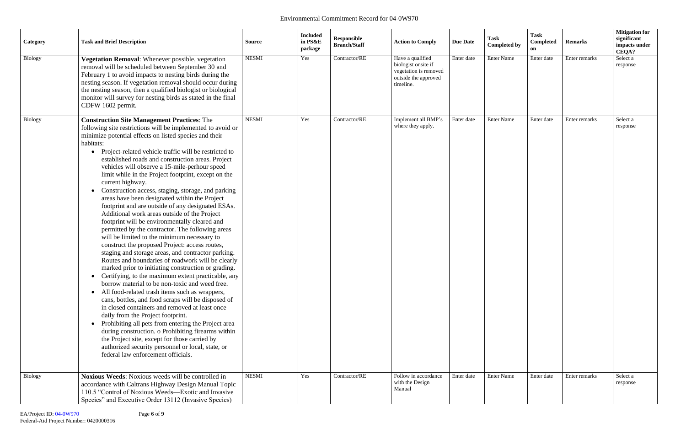| Category       | <b>Task and Brief Description</b>                                                                                                                                                                                                                                                                                                                                                                                                                                                                                                                                                                                                                                                                                                                                                                                                                                                                                                                                                                                                                                                                                                                                                                                                                                                                                                                                                                                                                                                                                                                                                                                             | <b>Source</b> | <b>Included</b><br>in PS&E<br>package | Responsible<br><b>Branch/Staff</b> | <b>Action to Comply</b>                                                                               | <b>Due Date</b> | <b>Task</b><br><b>Completed by</b> | Task<br>Completed<br>on | <b>Remarks</b> | <b>Mitigation for</b><br>significant<br>impacts under<br>CEQA? |
|----------------|-------------------------------------------------------------------------------------------------------------------------------------------------------------------------------------------------------------------------------------------------------------------------------------------------------------------------------------------------------------------------------------------------------------------------------------------------------------------------------------------------------------------------------------------------------------------------------------------------------------------------------------------------------------------------------------------------------------------------------------------------------------------------------------------------------------------------------------------------------------------------------------------------------------------------------------------------------------------------------------------------------------------------------------------------------------------------------------------------------------------------------------------------------------------------------------------------------------------------------------------------------------------------------------------------------------------------------------------------------------------------------------------------------------------------------------------------------------------------------------------------------------------------------------------------------------------------------------------------------------------------------|---------------|---------------------------------------|------------------------------------|-------------------------------------------------------------------------------------------------------|-----------------|------------------------------------|-------------------------|----------------|----------------------------------------------------------------|
| <b>Biology</b> | Vegetation Removal: Whenever possible, vegetation<br>removal will be scheduled between September 30 and<br>February 1 to avoid impacts to nesting birds during the<br>nesting season. If vegetation removal should occur during<br>the nesting season, then a qualified biologist or biological<br>monitor will survey for nesting birds as stated in the final<br>CDFW 1602 permit.                                                                                                                                                                                                                                                                                                                                                                                                                                                                                                                                                                                                                                                                                                                                                                                                                                                                                                                                                                                                                                                                                                                                                                                                                                          | <b>NESMI</b>  | Yes                                   | Contractor/RE                      | Have a qualified<br>biologist onsite if<br>vegetation is removed<br>outside the approved<br>timeline. | Enter date      | <b>Enter Name</b>                  | Enter date              | Enter remarks  | Select a<br>response                                           |
| Biology        | <b>Construction Site Management Practices: The</b><br>following site restrictions will be implemented to avoid or<br>minimize potential effects on listed species and their<br>habitats:<br>Project-related vehicle traffic will be restricted to<br>$\bullet$<br>established roads and construction areas. Project<br>vehicles will observe a 15-mile-perhour speed<br>limit while in the Project footprint, except on the<br>current highway.<br>Construction access, staging, storage, and parking<br>areas have been designated within the Project<br>footprint and are outside of any designated ESAs.<br>Additional work areas outside of the Project<br>footprint will be environmentally cleared and<br>permitted by the contractor. The following areas<br>will be limited to the minimum necessary to<br>construct the proposed Project: access routes,<br>staging and storage areas, and contractor parking.<br>Routes and boundaries of roadwork will be clearly<br>marked prior to initiating construction or grading.<br>Certifying, to the maximum extent practicable, any<br>$\bullet$<br>borrow material to be non-toxic and weed free.<br>All food-related trash items such as wrappers,<br>$\bullet$<br>cans, bottles, and food scraps will be disposed of<br>in closed containers and removed at least once<br>daily from the Project footprint.<br>Prohibiting all pets from entering the Project area<br>during construction. o Prohibiting firearms within<br>the Project site, except for those carried by<br>authorized security personnel or local, state, or<br>federal law enforcement officials. | <b>NESMI</b>  | Yes                                   | Contractor/RE                      | Implement all BMP's<br>where they apply.                                                              | Enter date      | <b>Enter Name</b>                  | Enter date              | Enter remarks  | Select a<br>response                                           |
| <b>Biology</b> | Noxious Weeds: Noxious weeds will be controlled in<br>accordance with Caltrans Highway Design Manual Topic<br>110.5 "Control of Noxious Weeds—Exotic and Invasive<br>Species" and Executive Order 13112 (Invasive Species)                                                                                                                                                                                                                                                                                                                                                                                                                                                                                                                                                                                                                                                                                                                                                                                                                                                                                                                                                                                                                                                                                                                                                                                                                                                                                                                                                                                                    | <b>NESMI</b>  | Yes                                   | Contractor/RE                      | Follow in accordance<br>with the Design<br>Manual                                                     | Enter date      | <b>Enter Name</b>                  | Enter date              | Enter remarks  | Select a<br>response                                           |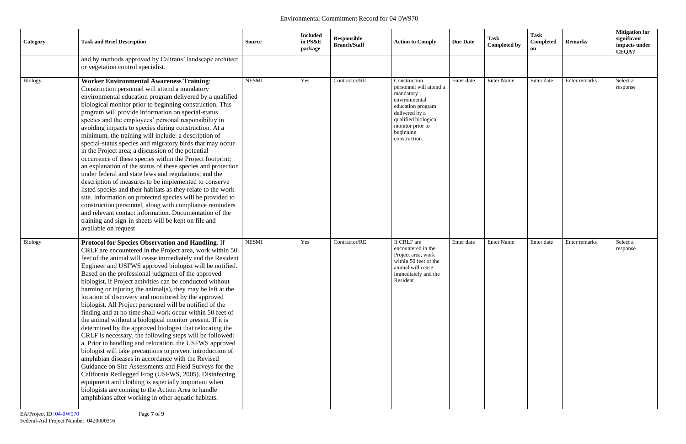| Category       | <b>Task and Brief Description</b>                                                                                                                                                                                                                                                                                                                                                                                                                                                                                                                                                                                                                                                                                                                                                                                                                                                                                                                                                                                                                                                                                                                                                                                                                                 | <b>Source</b> | <b>Included</b><br>in PS&E<br>package | Responsible<br><b>Branch/Staff</b> | <b>Action to Comply</b>                                                                                                                                                                | <b>Due Date</b> | <b>Task</b><br><b>Completed by</b> | Task<br>Completed<br>on | <b>Remarks</b> | <b>Mitigation for</b><br>significant<br>impacts under<br>CEQA? |
|----------------|-------------------------------------------------------------------------------------------------------------------------------------------------------------------------------------------------------------------------------------------------------------------------------------------------------------------------------------------------------------------------------------------------------------------------------------------------------------------------------------------------------------------------------------------------------------------------------------------------------------------------------------------------------------------------------------------------------------------------------------------------------------------------------------------------------------------------------------------------------------------------------------------------------------------------------------------------------------------------------------------------------------------------------------------------------------------------------------------------------------------------------------------------------------------------------------------------------------------------------------------------------------------|---------------|---------------------------------------|------------------------------------|----------------------------------------------------------------------------------------------------------------------------------------------------------------------------------------|-----------------|------------------------------------|-------------------------|----------------|----------------------------------------------------------------|
|                | and by methods approved by Caltrans' landscape architect<br>or vegetation control specialist.                                                                                                                                                                                                                                                                                                                                                                                                                                                                                                                                                                                                                                                                                                                                                                                                                                                                                                                                                                                                                                                                                                                                                                     |               |                                       |                                    |                                                                                                                                                                                        |                 |                                    |                         |                |                                                                |
| <b>Biology</b> | <b>Worker Environmental Awareness Training:</b><br>Construction personnel will attend a mandatory<br>environmental education program delivered by a qualified<br>biological monitor prior to beginning construction. This<br>program will provide information on special-status<br>species and the employees' personal responsibility in<br>avoiding impacts to species during construction. At a<br>minimum, the training will include: a description of<br>special-status species and migratory birds that may occur<br>in the Project area; a discussion of the potential<br>occurrence of these species within the Project footprint;<br>an explanation of the status of these species and protection<br>under federal and state laws and regulations; and the<br>description of measures to be implemented to conserve<br>listed species and their habitats as they relate to the work<br>site. Information on protected species will be provided to<br>construction personnel, along with compliance reminders<br>and relevant contact information. Documentation of the<br>training and sign-in sheets will be kept on file and<br>available on request                                                                                                    | <b>NESMI</b>  | Yes                                   | Contractor/RE                      | Construction<br>personnel will attend a<br>mandatory<br>environmental<br>education program<br>delivered by a<br>qualified biological<br>monitor prior to<br>beginning<br>construction. | Enter date      | <b>Enter Name</b>                  | Enter date              | Enter remarks  | Select a<br>response                                           |
| <b>Biology</b> | Protocol for Species Observation and Handling. If<br>CRLF are encountered in the Project area, work within 50<br>feet of the animal will cease immediately and the Resident<br>Engineer and USFWS approved biologist will be notified.<br>Based on the professional judgment of the approved<br>biologist, if Project activities can be conducted without<br>harming or injuring the animal(s), they may be left at the<br>location of discovery and monitored by the approved<br>biologist. All Project personnel will be notified of the<br>finding and at no time shall work occur within 50 feet of<br>the animal without a biological monitor present. If it is<br>determined by the approved biologist that relocating the<br>CRLF is necessary, the following steps will be followed:<br>a. Prior to handling and relocation, the USFWS approved<br>biologist will take precautions to prevent introduction of<br>amphibian diseases in accordance with the Revised<br>Guidance on Site Assessments and Field Surveys for the<br>California Redlegged Frog (USFWS, 2005). Disinfecting<br>equipment and clothing is especially important when<br>biologists are coming to the Action Area to handle<br>amphibians after working in other aquatic habitats. | <b>NESMI</b>  | Yes                                   | Contractor/RE                      | If CRLF are<br>encountered in the<br>Project area, work<br>within 50 feet of the<br>animal will cease<br>immediately and the<br>Resident                                               | Enter date      | <b>Enter Name</b>                  | Enter date              | Enter remarks  | Select a<br>response                                           |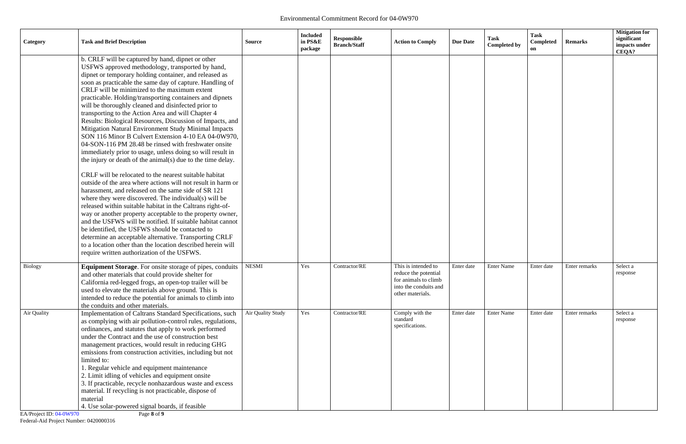| Category                                       | <b>Task and Brief Description</b>                                                                                                                                                                                                                                                                                                                                                                                                                                                                                                                                                                                                                                                                                                                                                                                                                                                                                                                                                                                                                                                                                                                                                                                                                                                                                                                                                                                                                                                   | <b>Source</b>     | <b>Included</b><br>in PS&E<br>package | Responsible<br><b>Branch/Staff</b> | <b>Action to Comply</b>                                                                                          | <b>Due Date</b> | <b>Task</b><br><b>Completed by</b> | <b>Task</b><br>Completed<br>on | <b>Remarks</b> | <b>Mitigation for</b><br>significant<br>impacts under<br>CEQA? |
|------------------------------------------------|-------------------------------------------------------------------------------------------------------------------------------------------------------------------------------------------------------------------------------------------------------------------------------------------------------------------------------------------------------------------------------------------------------------------------------------------------------------------------------------------------------------------------------------------------------------------------------------------------------------------------------------------------------------------------------------------------------------------------------------------------------------------------------------------------------------------------------------------------------------------------------------------------------------------------------------------------------------------------------------------------------------------------------------------------------------------------------------------------------------------------------------------------------------------------------------------------------------------------------------------------------------------------------------------------------------------------------------------------------------------------------------------------------------------------------------------------------------------------------------|-------------------|---------------------------------------|------------------------------------|------------------------------------------------------------------------------------------------------------------|-----------------|------------------------------------|--------------------------------|----------------|----------------------------------------------------------------|
|                                                | b. CRLF will be captured by hand, dipnet or other<br>USFWS approved methodology, transported by hand,<br>dipnet or temporary holding container, and released as<br>soon as practicable the same day of capture. Handling of<br>CRLF will be minimized to the maximum extent<br>practicable. Holding/transporting containers and dipnets<br>will be thoroughly cleaned and disinfected prior to<br>transporting to the Action Area and will Chapter 4<br>Results: Biological Resources, Discussion of Impacts, and<br>Mitigation Natural Environment Study Minimal Impacts<br>SON 116 Minor B Culvert Extension 4-10 EA 04-0W970,<br>04-SON-116 PM 28.48 be rinsed with freshwater onsite<br>immediately prior to usage, unless doing so will result in<br>the injury or death of the animal(s) due to the time delay.<br>CRLF will be relocated to the nearest suitable habitat<br>outside of the area where actions will not result in harm or<br>harassment, and released on the same side of SR 121<br>where they were discovered. The individual(s) will be<br>released within suitable habitat in the Caltrans right-of-<br>way or another property acceptable to the property owner,<br>and the USFWS will be notified. If suitable habitat cannot<br>be identified, the USFWS should be contacted to<br>determine an acceptable alternative. Transporting CRLF<br>to a location other than the location described herein will<br>require written authorization of the USFWS. |                   |                                       |                                    |                                                                                                                  |                 |                                    |                                |                |                                                                |
| Biology                                        | Equipment Storage. For onsite storage of pipes, conduits<br>and other materials that could provide shelter for<br>California red-legged frogs, an open-top trailer will be<br>used to elevate the materials above ground. This is<br>intended to reduce the potential for animals to climb into<br>the conduits and other materials.                                                                                                                                                                                                                                                                                                                                                                                                                                                                                                                                                                                                                                                                                                                                                                                                                                                                                                                                                                                                                                                                                                                                                | <b>NESMI</b>      | Yes                                   | Contractor/RE                      | This is intended to<br>reduce the potential<br>for animals to climb<br>into the conduits and<br>other materials. | Enter date      | <b>Enter Name</b>                  | Enter date                     | Enter remarks  | Select a<br>response                                           |
| Air Quality<br>$\Gamma$ A Droiget ID: 04 0W070 | Implementation of Caltrans Standard Specifications, such<br>as complying with air pollution-control rules, regulations,<br>ordinances, and statutes that apply to work performed<br>under the Contract and the use of construction best<br>management practices, would result in reducing GHG<br>emissions from construction activities, including but not<br>limited to:<br>1. Regular vehicle and equipment maintenance<br>2. Limit idling of vehicles and equipment onsite<br>3. If practicable, recycle nonhazardous waste and excess<br>material. If recycling is not practicable, dispose of<br>material<br>4. Use solar-powered signal boards, if feasible<br>$\text{Deco} \Omega$ of $\Omega$                                                                                                                                                                                                                                                                                                                                                                                                                                                                                                                                                                                                                                                                                                                                                                               | Air Quality Study | Yes                                   | Contractor/RE                      | Comply with the<br>standard<br>specifications.                                                                   | Enter date      | <b>Enter Name</b>                  | Enter date                     | Enter remarks  | Select a<br>response                                           |